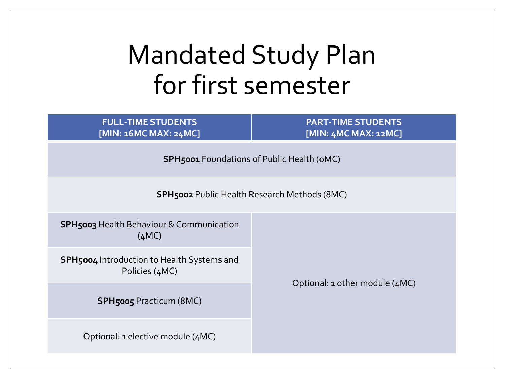## Mandated Study Plan for first semester

**FULL-TIME STUDENTS [MIN: 16MC MAX: 24MC]** **PART-TIME STUDENTS [MIN: 4MC MAX: 12MC]**

**SPH5001** Foundations of Public Health (0MC)

**SPH5002** Public Health Research Methods (8MC)

**SPH5003** Health Behaviour & Communication  $(AMC)$ 

**SPH5004** Introduction to Health Systems and Policies (4MC)

Optional: 1 other module (4MC)

**SPH5005** Practicum (8MC)

Optional: 1 elective module (4MC)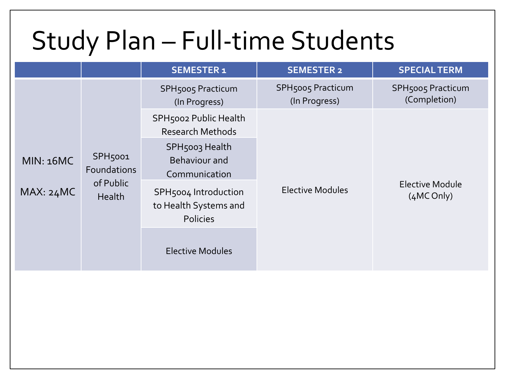## Study Plan – Full-time Students

|                  |                                                                  | <b>SEMESTER 1</b>                                                | <b>SEMESTER 2</b>                         | <b>SPECIAL TERM</b>                      |
|------------------|------------------------------------------------------------------|------------------------------------------------------------------|-------------------------------------------|------------------------------------------|
|                  | SPH <sub>5001</sub><br>Foundations<br>of Public<br><b>Health</b> | <b>SPH5005 Practicum</b><br>(In Progress)                        | <b>SPH5005 Practicum</b><br>(In Progress) | <b>SPH5005 Practicum</b><br>(Completion) |
|                  |                                                                  | SPH5002 Public Health<br><b>Research Methods</b>                 |                                           | <b>Elective Module</b><br>(4MC Only)     |
| <b>MIN: 16MC</b> |                                                                  | SPH5003 Health<br>Behaviour and<br>Communication                 |                                           |                                          |
| MAX: 24MC        |                                                                  | SPH5004 Introduction<br>to Health Systems and<br><b>Policies</b> | <b>Elective Modules</b>                   |                                          |
|                  |                                                                  | <b>Elective Modules</b>                                          |                                           |                                          |